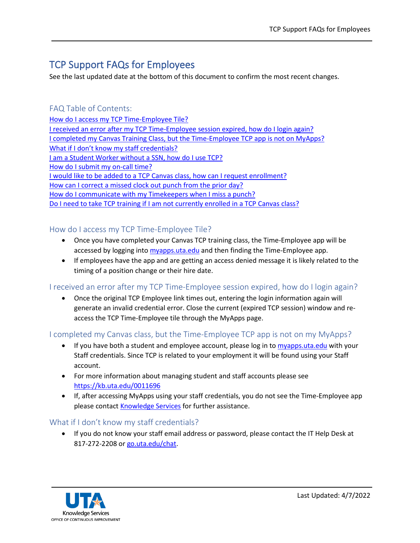# TCP Support FAQs for Employees

See the last updated date at the bottom of this document to confirm the most recent changes.

# FAQ Table of Contents:

[How do I access my TCP Time-Employee Tile?](#page-0-0) [I received an error after my TCP Time-Employee](#page-0-1) session expired, how do I login again? [I completed my Canvas Training Class, but the Time-Employee TCP app is not on MyApps?](#page-0-2) [What if I don't know my staff credentials?](#page-0-3) [I am a Student Worker without a SSN,](#page-1-0) how do I use TCP? [How do I submit my on-call time?](#page-1-1) [I would like to be added to a TCP Canvas class, how can I request enrollment?](#page-1-2) [How can I correct a missed clock out punch from the prior day?](#page-1-3) [How do I communicate with my Timekeepers when I miss a punch?](#page-1-4) [Do I need to take TCP training if I am not currently enrolled in a TCP Canvas class?](#page-1-5)

# <span id="page-0-0"></span>How do I access my TCP Time-Employee Tile?

- Once you have completed your Canvas TCP training class, the Time-Employee app will be accessed by logging into [myapps.uta.edu](http://myapps.uta.edu/) and then finding the Time-Employee app.
- If employees have the app and are getting an access denied message it is likely related to the timing of a position change or their hire date.

<span id="page-0-1"></span>I received an error after my TCP Time-Employee session expired, how do I login again?

• Once the original TCP Employee link times out, entering the login information again will generate an invalid credential error. Close the current (expired TCP session) window and reaccess the TCP Time-Employee tile through the MyApps page.

# <span id="page-0-2"></span>I completed my Canvas class, but the Time-Employee TCP app is not on my MyApps?

- If you have both a student and employee account, please log in to [myapps.uta.edu](https://myapps.uta.edu/) with your Staff credentials. Since TCP is related to your employment it will be found using your Staff account.
- For more information about managing student and staff accounts please see <https://kb.uta.edu/0011696>
- If, after accessing MyApps using your staff credentials, you do not see the Time-Employee app please contact [Knowledge Services](mailto:knowledgeservices@uta.edu) for further assistance.

# <span id="page-0-3"></span>What if I don't know my staff credentials?

• If you do not know your staff email address or password, please contact the IT Help Desk at 817-272-2208 or [go.uta.edu/chat.](https://go.uta.edu/chat)